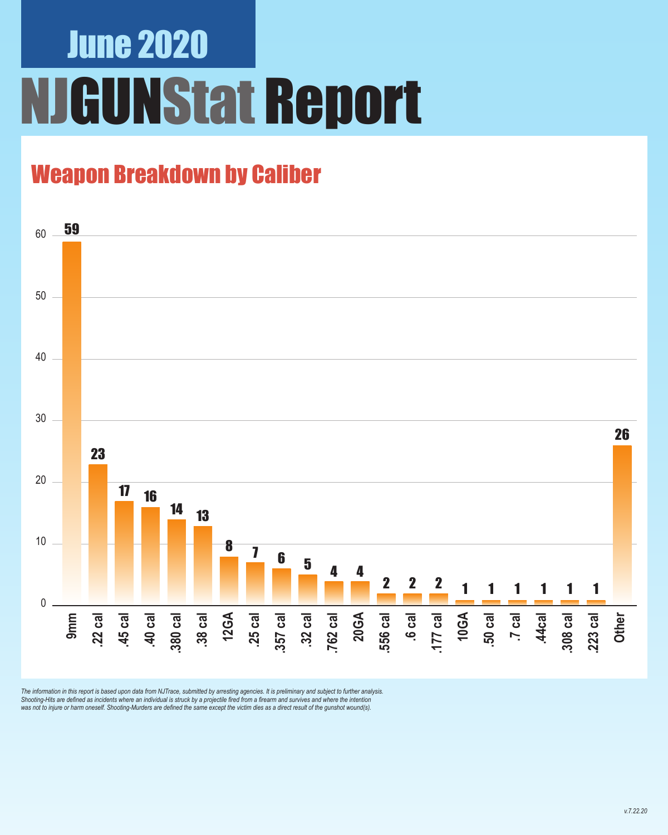# June 2020 NJGUNStat Report

### Weapon Breakdown by Caliber



The information in this report is based upon data from NJTrace, submitted by arresting agencies. It is preliminary and subject to further analysis.<br>Shooting-Hits are defined as incidents where an individual is struck by a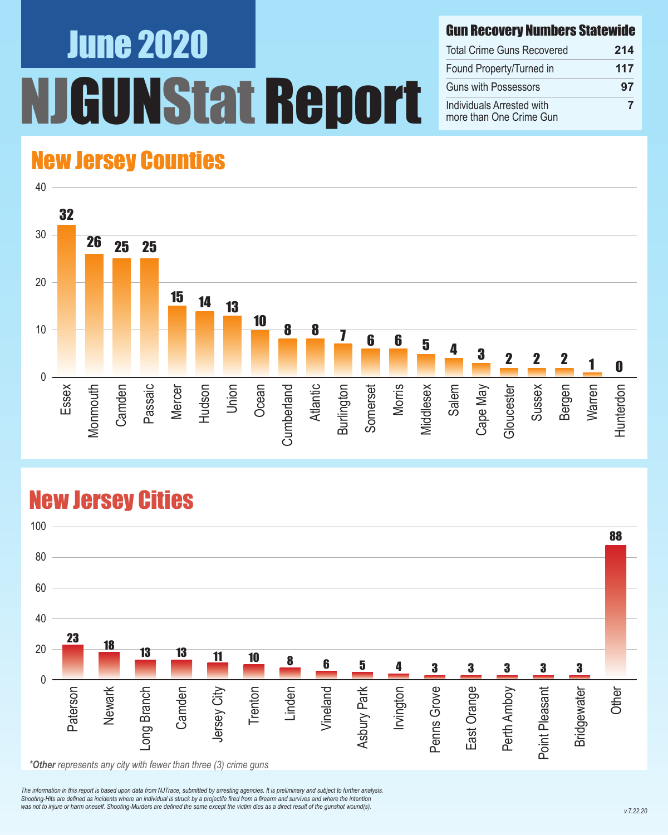# June 2020 NStat Report

#### Gun Recovery Numbers Statewide

| <b>Total Crime Guns Recovered</b>                    | 214 |
|------------------------------------------------------|-----|
| Found Property/Turned in                             | 117 |
| <b>Guns with Possessors</b>                          | 97  |
| Individuals Arrested with<br>more than One Crime Gun |     |

#### New Jersey Counties



#### New Jersey Cities



*\*Other represents any city with fewer than three (3) crime guns*

*The information in this report is based upon data from NJTrace, submitted by arresting agencies. It is preliminary and subject to further analysis. Shooting-Hits are defined as incidents where an individual is struck by a projectile fired from a firearm and survives and where the intention*  was not to injure or harm oneself. Shooting-Murders are defined the same except the victim dies as a direct result of the gunshot wound(s).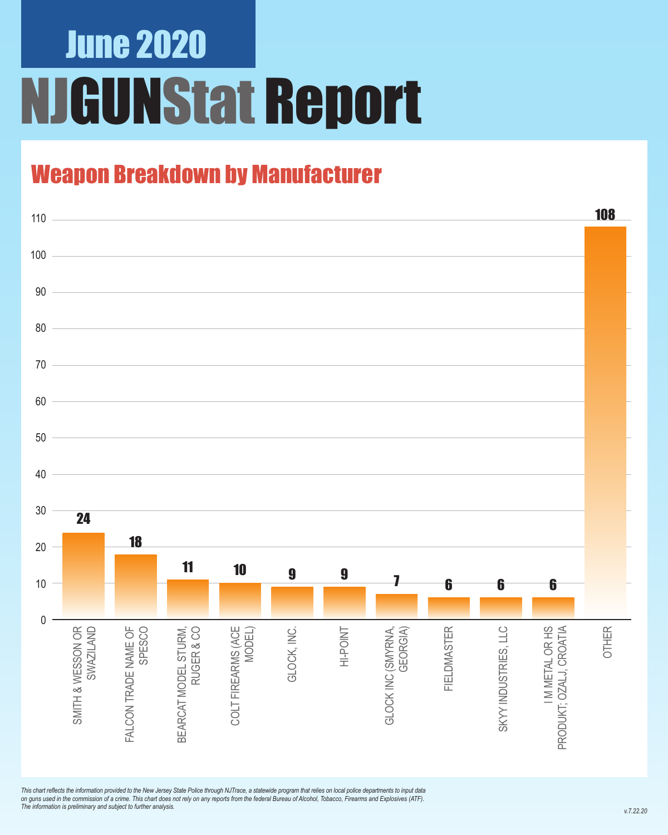# June 2020 NJGUNStat Report

### Weapon Breakdown by Manufacturer



*This chart reflects the information provided to the New Jersey State Police through NJTrace, a statewide program that relies on local police departments to input data on guns used in the commission of a crime. This chart does not rely on any reports from the federal Bureau of Alcohol, Tobacco, Firearms and Explosives (ATF). The information is preliminary and subject to further analysis.*